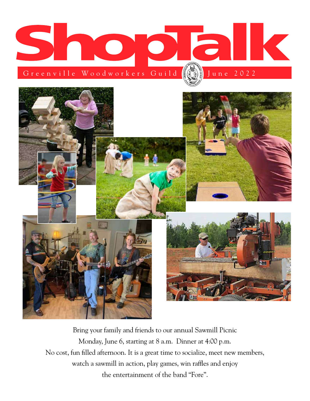



Bring your family and friends to our annual Sawmill Picnic Monday, June 6, starting at 8 a.m. Dinner at 4:00 p.m. No cost, fun filled afternoon. It is a great time to socialize, meet new members, watch a sawmill in action, play games, win raffles and enjoy the entertainment of the band "Fore".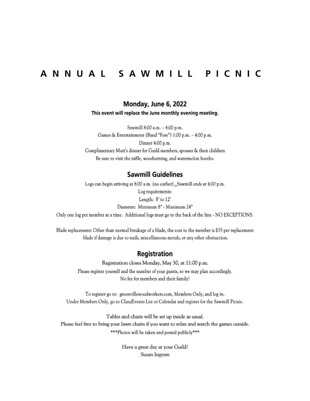# ANNUAL SAWMILL PICNIC

## Monday, June 6, 2022

This event will replace the June monthly evening meeting.

Sawmill 8:00 a.m. - 4:00 p.m. Games & Entertainment (Band "Fore") 1:00 p.m. - 4:00 p.m. Dinner 4:00 p.m. Complimentary Mutt's dinner for Guild members, spouses & their children Be sure to visit the raffle, woodturning, and watermelon booths.

### **Sawmill Guidelines**

Logs can begin arriving at 8:00 a.m. (no earlier)\_Sawmill ends at 4:00 p.m. Log requirements: Length: 8' to 12'

Diameter: Minimum 8" - Maximum 24"

Only one log per member at a time. Additional logs must go to the back of the line - NO EXCEPTIONS.

Blade replacement: Other than normal breakage of a blade, the cost to the member is \$35 per replacement blade if damage is due to nails, miscellaneous metals, or any other obstruction.

### **Registration**

Registration closes Monday, May 30, at 11:00 p.m. Please register yourself and the number of your guests, so we may plan accordingly. No fee for members and their family!

To register go to: greenvillewoodworkers.com, Members Only, and log in. Under Members Only, go to Class/Events List or Calendar and register for the Sawmill Picnic.

Tables and chairs will be set up inside as usual. Please feel free to bring your lawn chairs if you want to relax and watch the games outside. \*\*\* Photos will be taken and posted publicly\*\*\*

> Have a great day at your Guild! Susan Ingram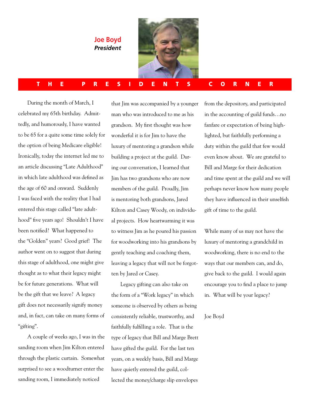**Joe Boyd** *President*



#### THE PRESIDENTS CORNER

During the month of March, I celebrated my 65th birthday. Admittedly, and humorously, I have wanted to be 65 for a quite some time solely for the option of being Medicare eligible! Ironically, today the internet led me to an article discussing "Late Adulthood" in which late adulthood was defined as the age of 60 and onward. Suddenly I was faced with the reality that I had entered this stage called "late adulthood" five years ago! Shouldn't I have been notified? What happened to the "Golden" years? Good grief! The author went on to suggest that during this stage of adulthood, one might give thought as to what their legacy might be for future generations. What will be the gift that we leave? A legacy gift does not necessarily signify money and, in fact, can take on many forms of "gifting".

A couple of weeks ago, I was in the sanding room when Jim Kilton entered through the plastic curtain. Somewhat surprised to see a woodturner enter the sanding room, I immediately noticed

that Jim was accompanied by a younger man who was introduced to me as his grandson. My first thought was how wonderful it is for Jim to have the luxury of mentoring a grandson while building a project at the guild. During our conversation, I learned that Jim has two grandsons who are now members of the guild. Proudly, Jim is mentoring both grandsons, Jared Kilton and Casey Woody, on individual projects. How heartwarming it was to witness Jim as he poured his passion for woodworking into his grandsons by gently teaching and coaching them, leaving a legacy that will not be forgotten by Jared or Casey.

Legacy gifting can also take on the form of a "Work legacy" in which someone is observed by others as being consistently reliable, trustworthy, and faithfully fulfilling a role. That is the type of legacy that Bill and Marge Brett have gifted the guild. For the last ten years, on a weekly basis, Bill and Marge have quietly entered the guild, collected the money/charge slip envelopes

from the depository, and participated in the accounting of guild funds…no fanfare or expectation of being highlighted, but faithfully performing a duty within the guild that few would even know about. We are grateful to Bill and Marge for their dedication and time spent at the guild and we will perhaps never know how many people they have influenced in their unselfish gift of time to the guild.

While many of us may not have the luxury of mentoring a grandchild in woodworking, there is no end to the ways that our members can, and do, give back to the guild. I would again encourage you to find a place to jump in. What will be your legacy?

#### Joe Boyd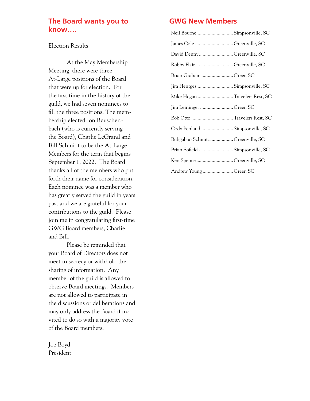## **The Board wants you to know….**

#### Election Results

At the May Membership Meeting, there were three At-Large positions of the Board that were up for election. For the first time in the history of the guild, we had seven nominees to fill the three positions. The membership elected Jon Rauschenbach (who is currently serving the Board), Charlie LeGrand and Bill Schmidt to be the At-Large Members for the term that begins September 1, 2022. The Board thanks all of the members who put forth their name for consideration. Each nominee was a member who has greatly served the guild in years past and we are grateful for your contributions to the guild. Please join me in congratulating first-time GWG Board members, Charlie and Bill.

Please be reminded that your Board of Directors does not meet in secrecy or withhold the sharing of information. Any member of the guild is allowed to observe Board meetings. Members are not allowed to participate in the discussions or deliberations and may only address the Board if invited to do so with a majority vote of the Board members.

Joe Boyd President

## **GWG New Members**

| Neil Bourne Simpsonville, SC     |
|----------------------------------|
| James Cole Greenville, SC        |
| David DennyGreenville, SC        |
| Robby FlairGreenville, SC        |
| Brian Graham  Greer, SC          |
| Jim Hentges Simpsonville, SC     |
| Mike Hogan Travelers Rest, SC    |
| Jim Leininger Greer, SC          |
|                                  |
| Cody Penland Simpsonville, SC    |
| Buhgaboo Schmitz  Greenville, SC |
| Brian Sofield Simpsonville, SC   |
| Ken Spence Greenville, SC        |
| Andrew Young Greer, SC           |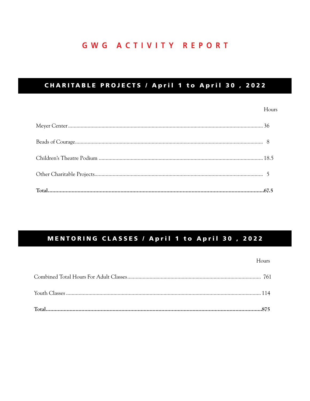# **GWG ACTIVITY REPORT**

## CHARITABLE PROJECTS / April 1 to April 30, 2022

### Hours

## MENTORING CLASSES / April 1 to April 30, 2022

#### Hours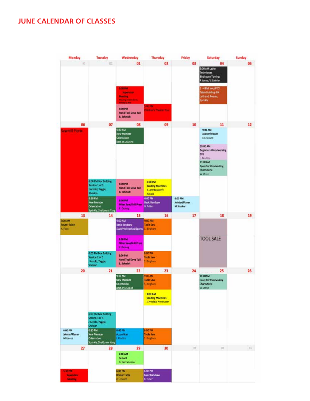## **JUNE CALENDAR OF CLASSES**

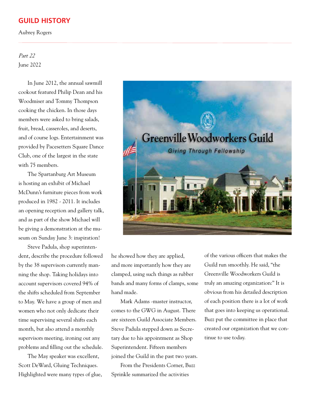### **GUILD HISTORY**

Aubrey Rogers

## Part 22 June 2022

In June 2012, the annual sawmill cookout featured Philip Dean and his Woodmiser and Tommy Thompson cooking the chicken. In those days members were asked to bring salads, fruit, bread, casseroles, and deserts, and of course logs. Entertainment was provided by Pacesetters Square Dance Club, one of the largest in the state with 75 members.

The Spartanburg Art Museum is hosting an exhibit of Michael McDunn's furniture pieces from work produced in 1982 - 2011. It includes an opening reception and gallery talk, and as part of the show Michael will be giving a demonstration at the museum on Sunday June 3: inspiration!

Steve Padula, shop superintendent, describe the procedure followed by the 38 supervisors currently manning the shop. Taking holidays into account supervisors covered 94% of the shifts scheduled from September to May. We have a group of men and women who not only dedicate their time supervising several shifts each month, but also attend a monthly supervisors meeting, ironing out any problems and filling out the schedule.

The May speaker was excellent, Scott DeWard, Gluing Techniques. Highlighted were many types of glue,



he showed how they are applied, and more importantly how they are clamped, using such things as rubber bands and many forms of clamps, some hand made.

Mark Adams -master instructor, comes to the GWG in August. There are sixteen Guild Associate Members. Steve Padula stepped down as Secretary due to his appointment as Shop Superintendent. Fifteen members joined the Guild in the past two years.

From the Presidents Corner, Buzz Sprinkle summarized the activities

of the various officers that makes the Guild run smoothly. He said, "the Greenville Woodworkers Guild is truly an amazing organization:" It is obvious from his detailed description of each position there is a lot of work that goes into keeping us operational. Buzz put the committee in place that created our organization that we continue to use today.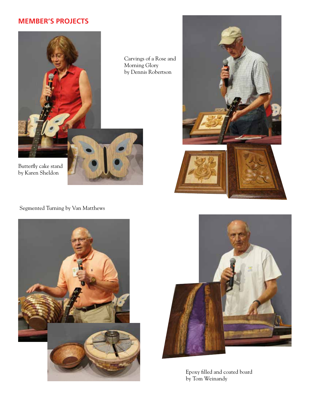## **MEMBER'S PROJECTS**



Butterfly cake stand by Karen Sheldon

Segmented Turning by Van Matthews







Epoxy filled and coated board by Tom Weinandy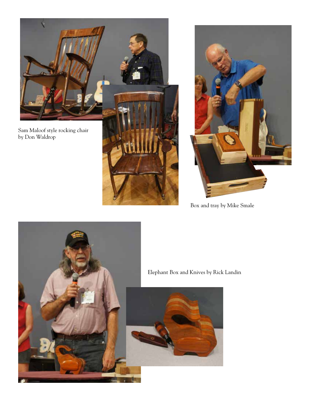



Box and tray by Mike Smale



Elephant Box and Knives by Rick Landin

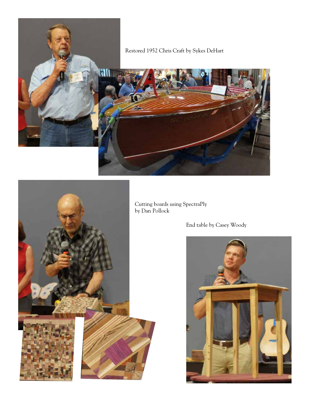



Cutting boards using SpectraPly by Dan Pollock

End table by Casey Woody